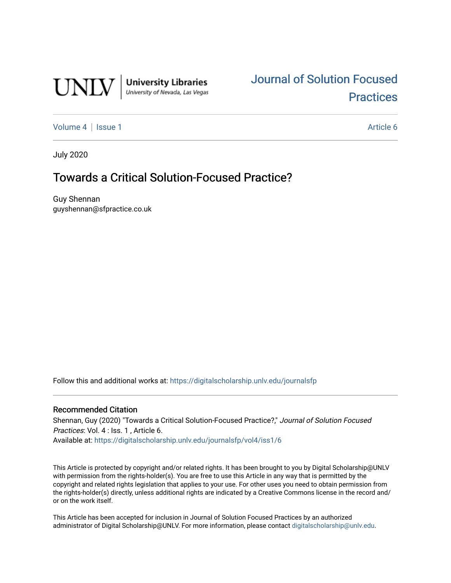

# [Journal of Solution Focused](https://digitalscholarship.unlv.edu/journalsfp)  **Practices**

[Volume 4](https://digitalscholarship.unlv.edu/journalsfp/vol4) | [Issue 1](https://digitalscholarship.unlv.edu/journalsfp/vol4/iss1) Article 6

July 2020

# Towards a Critical Solution-Focused Practice?

Guy Shennan guyshennan@sfpractice.co.uk

Follow this and additional works at: [https://digitalscholarship.unlv.edu/journalsfp](https://digitalscholarship.unlv.edu/journalsfp?utm_source=digitalscholarship.unlv.edu%2Fjournalsfp%2Fvol4%2Fiss1%2F6&utm_medium=PDF&utm_campaign=PDFCoverPages)

### Recommended Citation

Shennan, Guy (2020) "Towards a Critical Solution-Focused Practice?," Journal of Solution Focused Practices: Vol. 4 : Iss. 1, Article 6. Available at: [https://digitalscholarship.unlv.edu/journalsfp/vol4/iss1/6](https://digitalscholarship.unlv.edu/journalsfp/vol4/iss1/6?utm_source=digitalscholarship.unlv.edu%2Fjournalsfp%2Fvol4%2Fiss1%2F6&utm_medium=PDF&utm_campaign=PDFCoverPages)

This Article is protected by copyright and/or related rights. It has been brought to you by Digital Scholarship@UNLV with permission from the rights-holder(s). You are free to use this Article in any way that is permitted by the copyright and related rights legislation that applies to your use. For other uses you need to obtain permission from the rights-holder(s) directly, unless additional rights are indicated by a Creative Commons license in the record and/ or on the work itself.

This Article has been accepted for inclusion in Journal of Solution Focused Practices by an authorized administrator of Digital Scholarship@UNLV. For more information, please contact [digitalscholarship@unlv.edu.](mailto:digitalscholarship@unlv.edu)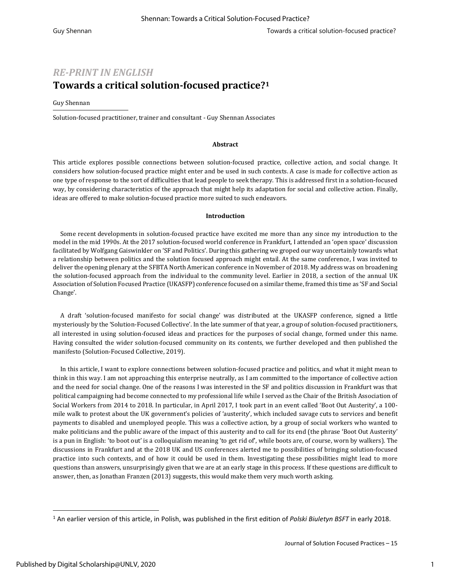### *RE-PRINT IN ENGLISH*

# **Towards a critical solution-focused practice?[1](#page-1-0)**

Guy Shennan

Solution-focused practitioner, trainer and consultant - Guy Shennan Associates

#### **Abstract**

This article explores possible connections between solution-focused practice, collective action, and social change. It considers how solution-focused practice might enter and be used in such contexts. A case is made for collective action as one type of response to the sort of difficulties that lead people to seek therapy. This is addressed first in a solution-focused way, by considering characteristics of the approach that might help its adaptation for social and collective action. Finally, ideas are offered to make solution-focused practice more suited to such endeavors.

#### **Introduction**

 Some recent developments in solution-focused practice have excited me more than any since my introduction to the model in the mid 1990s. At the 2017 solution-focused world conference in Frankfurt, I attended an 'open space' discussion facilitated by Wolfgang Gaiswinkler on 'SF and Politics'. During this gathering we groped our way uncertainly towards what a relationship between politics and the solution focused approach might entail. At the same conference, I was invited to deliver the opening plenary at the SFBTA North American conference in November of 2018. My address was on broadening the solution-focused approach from the individual to the community level. Earlier in 2018, a section of the annual UK Association of Solution Focused Practice (UKASFP) conference focused on a similar theme, framed this time as 'SF and Social Change'.

 A draft 'solution-focused manifesto for social change' was distributed at the UKASFP conference, signed a little mysteriously by the 'Solution-Focused Collective'. In the late summer of that year, a group of solution-focused practitioners, all interested in using solution-focused ideas and practices for the purposes of social change, formed under this name. Having consulted the wider solution-focused community on its contents, we further developed and then published the manifesto (Solution-Focused Collective, 2019).

 In this article, I want to explore connections between solution-focused practice and politics, and what it might mean to think in this way. I am not approaching this enterprise neutrally, as I am committed to the importance of collective action and the need for social change. One of the reasons I was interested in the SF and politics discussion in Frankfurt was that political campaigning had become connected to my professional life while I served as the Chair of the British Association of Social Workers from 2014 to 2018. In particular, in April 2017, I took part in an event called 'Boot Out Austerity', a 100 mile walk to protest about the UK government's policies of 'austerity', which included savage cuts to services and benefit payments to disabled and unemployed people. This was a collective action, by a group of social workers who wanted to make politicians and the public aware of the impact of this austerity and to call for its end (the phrase 'Boot Out Austerity' is a pun in English: 'to boot out' is a colloquialism meaning 'to get rid of', while boots are, of course, worn by walkers). The discussions in Frankfurt and at the 2018 UK and US conferences alerted me to possibilities of bringing solution-focused practice into such contexts, and of how it could be used in them. Investigating these possibilities might lead to more questions than answers, unsurprisingly given that we are at an early stage in this process. If these questions are difficult to answer, then, as Jonathan Franzen (2013) suggests, this would make them very much worth asking.

<span id="page-1-0"></span><sup>1</sup> An earlier version of this article, in Polish, was published in the first edition of *Polski Biuletyn BSFT* in early 2018.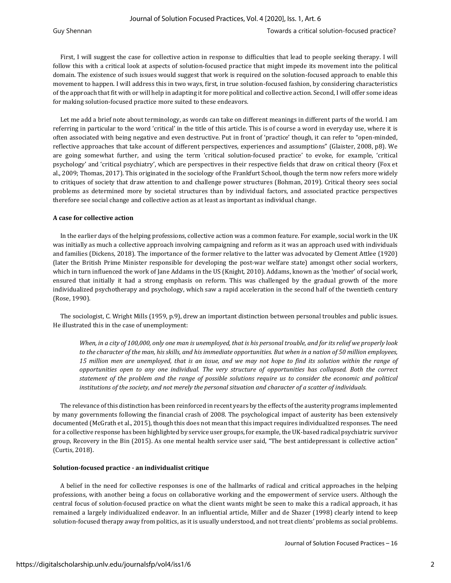#### Journal of Solution Focused Practices, Vol. 4 [2020], Iss. 1, Art. 6

 First, I will suggest the case for collective action in response to difficulties that lead to people seeking therapy. I will follow this with a critical look at aspects of solution-focused practice that might impede its movement into the political domain. The existence of such issues would suggest that work is required on the solution-focused approach to enable this movement to happen. I will address this in two ways, first, in true solution-focused fashion, by considering characteristics of the approach that fit with or will help in adapting it for more political and collective action. Second, I will offer some ideas for making solution-focused practice more suited to these endeavors.

 Let me add a brief note about terminology, as words can take on different meanings in different parts of the world. I am referring in particular to the word 'critical' in the title of this article. This is of course a word in everyday use, where it is often associated with being negative and even destructive. Put in front of 'practice' though, it can refer to "open-minded, reflective approaches that take account of different perspectives, experiences and assumptions" (Glaister, 2008, p8). We are going somewhat further, and using the term 'critical solution-focused practice' to evoke, for example, 'critical psychology' and 'critical psychiatry', which are perspectives in their respective fields that draw on critical theory (Fox et al., 2009; Thomas, 2017). This originated in the sociology of the Frankfurt School, though the term now refers more widely to critiques of society that draw attention to and challenge power structures (Bohman, 2019). Critical theory sees social problems as determined more by societal structures than by individual factors, and associated practice perspectives therefore see social change and collective action as at least as important as individual change.

#### **A case for collective action**

In the earlier days of the helping professions, collective action was a common feature. For example, social work in the UK was initially as much a collective approach involving campaigning and reform as it was an approach used with individuals and families (Dickens, 2018). The importance of the former relative to the latter was advocated by Clement Attlee (1920) (later the British Prime Minister responsible for developing the post-war welfare state) amongst other social workers, which in turn influenced the work of Jane Addams in the US (Knight, 2010). Addams, known as the 'mother' of social work, ensured that initially it had a strong emphasis on reform. This was challenged by the gradual growth of the more individualized psychotherapy and psychology, which saw a rapid acceleration in the second half of the twentieth century (Rose, 1990).

The sociologist, C. Wright Mills (1959, p.9), drew an important distinction between personal troubles and public issues. He illustrated this in the case of unemployment:

*When, in a city of 100,000, only one man is unemployed, that is his personal trouble, and for its relief we properly look to the character of the man, his skills, and his immediate opportunities. But when in a nation of 50 million employees, 15 million men are unemployed, that is an issue, and we may not hope to find its solution within the range of opportunities open to any one individual. The very structure of opportunities has collapsed. Both the correct statement of the problem and the range of possible solutions require us to consider the economic and political institutions of the society, and not merely the personal situation and character of a scatter of individuals.*

The relevance of this distinction has been reinforced in recent years by the effects of the austerity programs implemented by many governments following the financial crash of 2008. The psychological impact of austerity has been extensively documented (McGrath et al., 2015), though this does not mean that this impact requires individualized responses. The need for a collective response has been highlighted by service user groups, for example, the UK-based radical psychiatric survivor group, Recovery in the Bin (2015). As one mental health service user said, "The best antidepressant is collective action" (Curtis, 2018).

#### **Solution-focused practice - an individualist critique**

 A belief in the need for collective responses is one of the hallmarks of radical and critical approaches in the helping professions, with another being a focus on collaborative working and the empowerment of service users. Although the central focus of solution-focused practice on what the client wants might be seen to make this a radical approach, it has remained a largely individualized endeavor. In an influential article, Miller and de Shazer (1998) clearly intend to keep solution-focused therapy away from politics, as it is usually understood, and not treat clients' problems as social problems.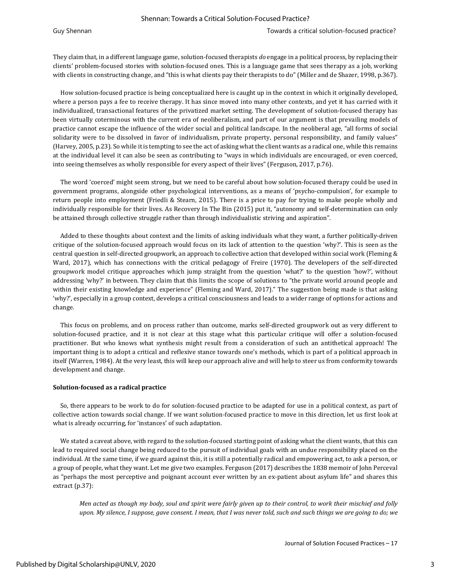They claim that, in a different language game, solution-focused therapists *do* engage in a political process, by replacing their clients' problem-focused stories with solution-focused ones. This is a language game that sees therapy as a job, working with clients in constructing change, and "this is what clients pay their therapists to do" (Miller and de Shazer, 1998, p.367).

 How solution-focused practice is being conceptualized here is caught up in the context in which it originally developed, where a person pays a fee to receive therapy. It has since moved into many other contexts, and yet it has carried with it individualized, transactional features of the privatized market setting. The development of solution-focused therapy has been virtually coterminous with the current era of neoliberalism, and part of our argument is that prevailing models of practice cannot escape the influence of the wider social and political landscape. In the neoliberal age, "all forms of social solidarity were to be dissolved in favor of individualism, private property, personal responsibility, and family values" (Harvey, 2005, p.23). So while it is tempting to see the act of asking what the client wants as a radical one, while this remains at the individual level it can also be seen as contributing to "ways in which individuals are encouraged, or even coerced, into seeing themselves as wholly responsible for every aspect of their lives" (Ferguson, 2017, p.76).

 The word 'coerced' might seem strong, but we need to be careful about how solution-focused therapy could be used in government programs, alongside other psychological interventions, as a means of 'psycho-compulsion', for example to return people into employment (Friedli & Stearn, 2015). There is a price to pay for trying to make people wholly and individually responsible for their lives. As Recovery In The Bin (2015) put it, "autonomy and self-determination can only be attained through collective struggle rather than through individualistic striving and aspiration".

 Added to these thoughts about context and the limits of asking individuals what they want, a further politically-driven critique of the solution-focused approach would focus on its lack of attention to the question 'why?'. This is seen as the central question in self-directed groupwork, an approach to collective action that developed within social work (Fleming & Ward, 2017), which has connections with the critical pedagogy of Freire (1970). The developers of the self-directed groupwork model critique approaches which jump straight from the question 'what?' to the question 'how?', without addressing 'why?' in between. They claim that this limits the scope of solutions to "the private world around people and within their existing knowledge and experience" (Fleming and Ward, 2017)." The suggestion being made is that asking 'why?', especially in a group context, develops a critical consciousness and leads to a wider range of options for actions and change.

 This focus on problems, and on process rather than outcome, marks self-directed groupwork out as very different to solution-focused practice, and it is not clear at this stage what this particular critique will offer a solution-focused practitioner. But who knows what synthesis might result from a consideration of such an antithetical approach! The important thing is to adopt a critical and reflexive stance towards one's methods, which is part of a political approach in itself (Warren, 1984). At the very least, this will keep our approach alive and will help to steer us from conformity towards development and change.

#### **Solution-focused as a radical practice**

 So, there appears to be work to do for solution-focused practice to be adapted for use in a political context, as part of collective action towards social change. If we want solution-focused practice to move in this direction, let us first look at what is already occurring, for 'instances' of such adaptation.

 We stated a caveat above, with regard to the solution-focused starting point of asking what the client wants, that this can lead to required social change being reduced to the pursuit of individual goals with an undue responsibility placed on the individual. At the same time, if we guard against this, it is still a potentially radical and empowering act, to ask a person, or a group of people, what they want. Let me give two examples. Ferguson (2017) describes the 1838 memoir of John Perceval as "perhaps the most perceptive and poignant account ever written by an ex-patient about asylum life" and shares this extract (p.37):

*Men acted as though my body, soul and spirit were fairly given up to their control, to work their mischief and folly upon. My silence, I suppose, gave consent. I mean, that I was never told, such and such things we are going to do; we*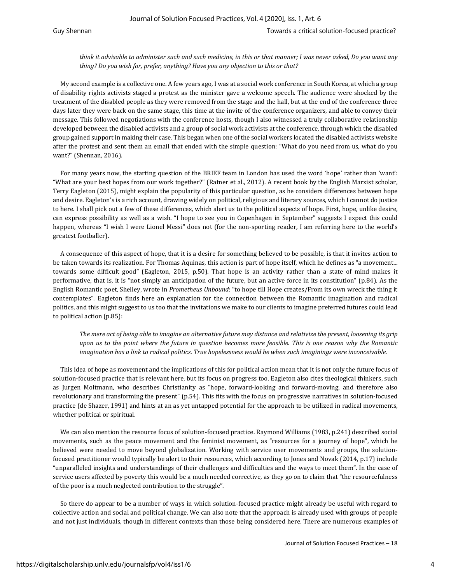#### Journal of Solution Focused Practices, Vol. 4 [2020], Iss. 1, Art. 6

Guy Shennan Towards a critical solution-focused practice?

### *think it advisable to administer such and such medicine, in this or that manner; I was never asked, Do you want any thing? Do you wish for, prefer, anything? Have you any objection to this or that?*

 My second example is a collective one. A few years ago, I was at a social work conference in South Korea, at which a group of disability rights activists staged a protest as the minister gave a welcome speech. The audience were shocked by the treatment of the disabled people as they were removed from the stage and the hall, but at the end of the conference three days later they were back on the same stage, this time at the invite of the conference organizers, and able to convey their message. This followed negotiations with the conference hosts, though I also witnessed a truly collaborative relationship developed between the disabled activists and a group of social work activists at the conference, through which the disabled group gained support in making their case. This began when one of the social workers located the disabled activists website after the protest and sent them an email that ended with the simple question: "What do you need from us, what do you want?" (Shennan, 2016).

 For many years now, the starting question of the BRIEF team in London has used the word 'hope' rather than 'want': "What are your best hopes from our work together?" (Ratner et al., 2012). A recent book by the English Marxist scholar, Terry Eagleton (2015), might explain the popularity of this particular question, as he considers differences between hope and desire. Eagleton's is a rich account, drawing widely on political, religious and literary sources, which I cannot do justice to here. I shall pick out a few of these differences, which alert us to the political aspects of hope. First, hope, unlike desire, can express possibility as well as a wish. "I hope to see you in Copenhagen in September" suggests I expect this could happen, whereas "I wish I were Lionel Messi" does not (for the non-sporting reader, I am referring here to the world's greatest footballer).

 A consequence of this aspect of hope, that it is a desire for something believed to be possible, is that it invites action to be taken towards its realization. For Thomas Aquinas, this action is part of hope itself, which he defines as "a movement... towards some difficult good" (Eagleton, 2015, p.50). That hope is an activity rather than a state of mind makes it performative, that is, it is "not simply an anticipation of the future, but an active force in its constitution" (p.84). As the English Romantic poet, Shelley, wrote in *Prometheus Unbound*: "to hope till Hope creates/From its own wreck the thing it contemplates". Eagleton finds here an explanation for the connection between the Romantic imagination and radical politics, and this might suggest to us too that the invitations we make to our clients to imagine preferred futures could lead to political action (p.85):

*The mere act of being able to imagine an alternative future may distance and relativize the present, loosening its grip upon us to the point where the future in question becomes more feasible. This is one reason why the Romantic imagination has a link to radical politics. True hopelessness would be when such imaginings were inconceivable.*

 This idea of hope as movement and the implications of this for political action mean that it is not only the future focus of solution-focused practice that is relevant here, but its focus on progress too. Eagleton also cites theological thinkers, such as Jurgen Moltmann, who describes Christianity as "hope, forward-looking and forward-moving, and therefore also revolutionary and transforming the present" (p.54). This fits with the focus on progressive narratives in solution-focused practice (de Shazer, 1991) and hints at an as yet untapped potential for the approach to be utilized in radical movements, whether political or spiritual.

 We can also mention the resource focus of solution-focused practice. Raymond Williams (1983, p.241) described social movements, such as the peace movement and the feminist movement, as "resources for a journey of hope", which he believed were needed to move beyond globalization. Working with service user movements and groups, the solutionfocused practitioner would typically be alert to their resources, which according to Jones and Novak (2014, p.17) include "unparalleled insights and understandings of their challenges and difficulties and the ways to meet them". In the case of service users affected by poverty this would be a much needed corrective, as they go on to claim that "the resourcefulness of the poor is a much neglected contribution to the struggle".

 So there do appear to be a number of ways in which solution-focused practice might already be useful with regard to collective action and social and political change. We can also note that the approach is already used with groups of people and not just individuals, though in different contexts than those being considered here. There are numerous examples of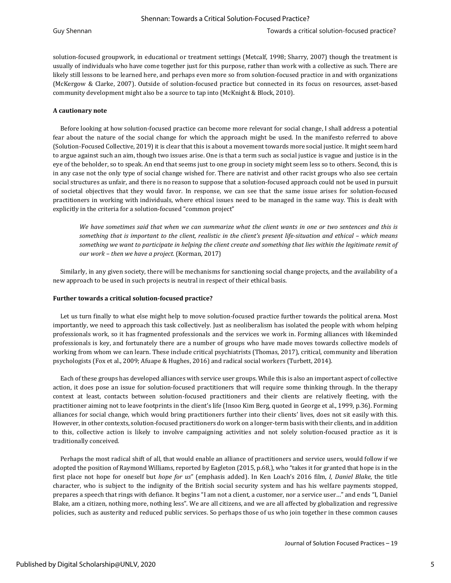solution-focused groupwork, in educational or treatment settings (Metcalf, 1998; Sharry, 2007) though the treatment is usually of individuals who have come together just for this purpose, rather than work with a collective as such. There are likely still lessons to be learned here, and perhaps even more so from solution-focused practice in and with organizations (McKergow & Clarke, 2007). Outside of solution-focused practice but connected in its focus on resources, asset-based community development might also be a source to tap into (McKnight & Block, 2010).

#### **A cautionary note**

 Before looking at how solution-focused practice can become more relevant for social change, I shall address a potential fear about the nature of the social change for which the approach might be used. In the manifesto referred to above (Solution-Focused Collective, 2019) it is clear that this is about a movement towards more social justice. It might seem hard to argue against such an aim, though two issues arise. One is that a term such as social justice is vague and justice is in the eye of the beholder, so to speak. An end that seems just to one group in society might seem less so to others. Second, this is in any case not the only type of social change wished for. There are nativist and other racist groups who also see certain social structures as unfair, and there is no reason to suppose that a solution-focused approach could not be used in pursuit of societal objectives that they would favor. In response, we can see that the same issue arises for solution-focused practitioners in working with individuals, where ethical issues need to be managed in the same way. This is dealt with explicitly in the criteria for a solution-focused "common project"

*We have sometimes said that when we can summarize what the client wants in one or two sentences and this is something that is important to the client, realistic in the client's present life-situation and ethical – which means something we want to participate in helping the client create and something that lies within the legitimate remit of our work – then we have a project.* (Korman, 2017)

 Similarly, in any given society, there will be mechanisms for sanctioning social change projects, and the availability of a new approach to be used in such projects is neutral in respect of their ethical basis.

#### **Further towards a critical solution-focused practice?**

 Let us turn finally to what else might help to move solution-focused practice further towards the political arena. Most importantly, we need to approach this task collectively. Just as neoliberalism has isolated the people with whom helping professionals work, so it has fragmented professionals and the services we work in. Forming alliances with likeminded professionals is key, and fortunately there are a number of groups who have made moves towards collective models of working from whom we can learn. These include critical psychiatrists (Thomas, 2017), critical, community and liberation psychologists (Fox et al., 2009; Afuape & Hughes, 2016) and radical social workers (Turbett, 2014).

 Each of these groups has developed alliances with service user groups. While this is also an important aspect of collective action, it does pose an issue for solution-focused practitioners that will require some thinking through. In the therapy context at least, contacts between solution-focused practitioners and their clients are relatively fleeting, with the practitioner aiming not to leave footprints in the client's life (Insoo Kim Berg, quoted in George et al., 1999, p.36). Forming alliances for social change, which would bring practitioners further into their clients' lives, does not sit easily with this. However, in other contexts, solution-focused practitioners do work on a longer-term basis with their clients, and in addition to this, collective action is likely to involve campaigning activities and not solely solution-focused practice as it is traditionally conceived.

 Perhaps the most radical shift of all, that would enable an alliance of practitioners and service users, would follow if we adopted the position of Raymond Williams, reported by Eagleton (2015, p.68,), who "takes it for granted that hope is in the first place not hope for oneself but *hope for us*" (emphasis added). In Ken Loach's 2016 film, *I, Daniel Blake*, the title character, who is subject to the indignity of the British social security system and has his welfare payments stopped, prepares a speech that rings with defiance. It begins "I am not a client, a customer, nor a service user…" and ends "I, Daniel Blake, am a citizen, nothing more, nothing less". We are all citizens, and we are all affected by globalization and regressive policies, such as austerity and reduced public services. So perhaps those of us who join together in these common causes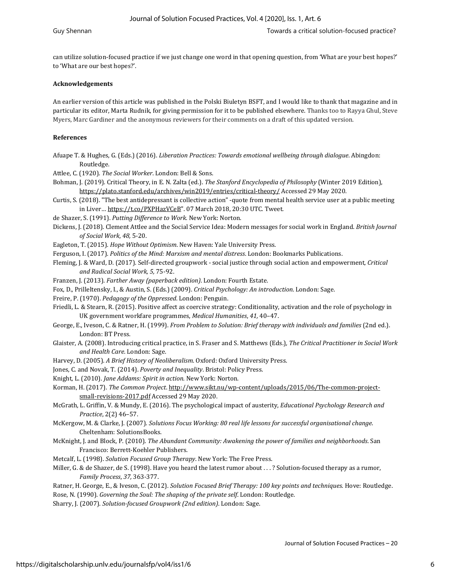#### Journal of Solution Focused Practices, Vol. 4 [2020], Iss. 1, Art. 6

can utilize solution-focused practice if we just change one word in that opening question, from 'What are your best hopes?' to 'What are our best hopes?'.

#### **Acknowledgements**

An earlier version of this article was published in the Polski Biuletyn BSFT, and I would like to thank that magazine and in particular its editor, Marta Rudnik, for giving permission for it to be published elsewhere. Thanks too to Rayya Ghul, Steve Myers, Marc Gardiner and the anonymous reviewers for their comments on a draft of this updated version.

#### **References**

- Afuape T. & Hughes, G. (Eds.) (2016). *Liberation Practices: Towards emotional wellbeing through dialogue*. Abingdon: Routledge.
- Attlee, C. (1920). *The Social Worker*. London: Bell & Sons.
- Bohman, J. (2019). Critical Theory, in E. N. Zalta (ed.). *The Stanford Encyclopedia of Philosophy* (Winter 2019 Edition), https://plato.stanford.edu/archives/win2019/entries/critical-theory/ Accessed 29 May 2020.
- Curtis, S. (2018). "The best antidepressant is collective action" -quote from mental health service user at a public meeting in Liver... https://t.co/PXPHazVCeB". 07 March 2018, 20:30 UTC. Tweet.
- de Shazer, S. (1991). *Putting Difference to Work*. New York: Norton.
- Dickens, J. (2018). Clement Attlee and the Social Service Idea: Modern messages for social work in England. *British Journal of Social Work*, *48,* 5-20.
- Eagleton, T. (2015). *Hope Without Optimism*. New Haven: Yale University Press.
- Ferguson, I. (2017). *Politics of the Mind: Marxism and mental distress*. London: Bookmarks Publications.
- Fleming, J. & Ward, D. (2017). Self-directed groupwork social justice through social action and empowerment, *Critical and Radical Social Work*, *5,* 75-92.
- Franzen, J. (2013). *Farther Away (paperback edition)*. London: Fourth Estate.
- Fox, D., Prilleltensky, I., & Austin, S. (Eds.) (2009). *Critical Psychology: An introduction*. London: Sage.
- Freire, P. (1970). *Pedagogy of the Oppressed*. London: Penguin.
- Friedli, L. & Stearn, R. (2015). Positive affect as coercive strategy: Conditionality, activation and the role of psychology in UK government workfare programmes, *Medical Humanities*, *41,* 40–47.
- George, E., Iveson, C. & Ratner, H. (1999). *From Problem to Solution: Brief therapy with individuals and families* (2nd ed.). London: BT Press.
- Glaister, A. (2008). Introducing critical practice, in S. Fraser and S. Matthews (Eds.)*, The Critical Practitioner in Social Work and Health Care*. London: Sage.
- Harvey, D. (2005). *A Brief History of Neoliberalism*. Oxford: Oxford University Press.
- Jones, C. and Novak, T. (2014). *Poverty and Inequality*. Bristol: Policy Press.
- Knight, L. (2010). *Jane Addams: Spirit in action*. New York: Norton.
- Korman, H. (2017). *The Common Project*. http://www.sikt.nu/wp-content/uploads/2015/06/The-common-projectsmall-revisions-2017.pdf Accessed 29 May 2020.
- McGrath, L. Griffin, V. & Mundy, E. (2016). The psychological impact of austerity, *Educational Psychology Research and Practice*, 2(2) 46–57.
- McKergow, M. & Clarke, J. (2007). *Solutions Focus Working: 80 real life lessons for successful organisational change*. Cheltenham: SolutionsBooks.
- McKnight, J. and Block, P. (2010). *The Abundant Community: Awakening the power of families and neighborhoods*. San Francisco: Berrett-Koehler Publishers.
- Metcalf, L. (1998). *Solution Focused Group Therapy*. New York: The Free Press.
- Miller, G. & de Shazer, de S. (1998). Have you heard the latest rumor about . . .? Solution-focused therapy as a rumor, *Family Process*, *37,* 363-377.
- Ratner, H. George, E., & Iveson, C. (2012). *Solution Focused Brief Therapy: 100 key points and techniques*. Hove: Routledge. Rose, N. (1990). *Governing the Soul: The shaping of the private self*. London: Routledge.
- Sharry, J. (2007). *Solution-focused Groupwork (2nd edition)*. London: Sage.